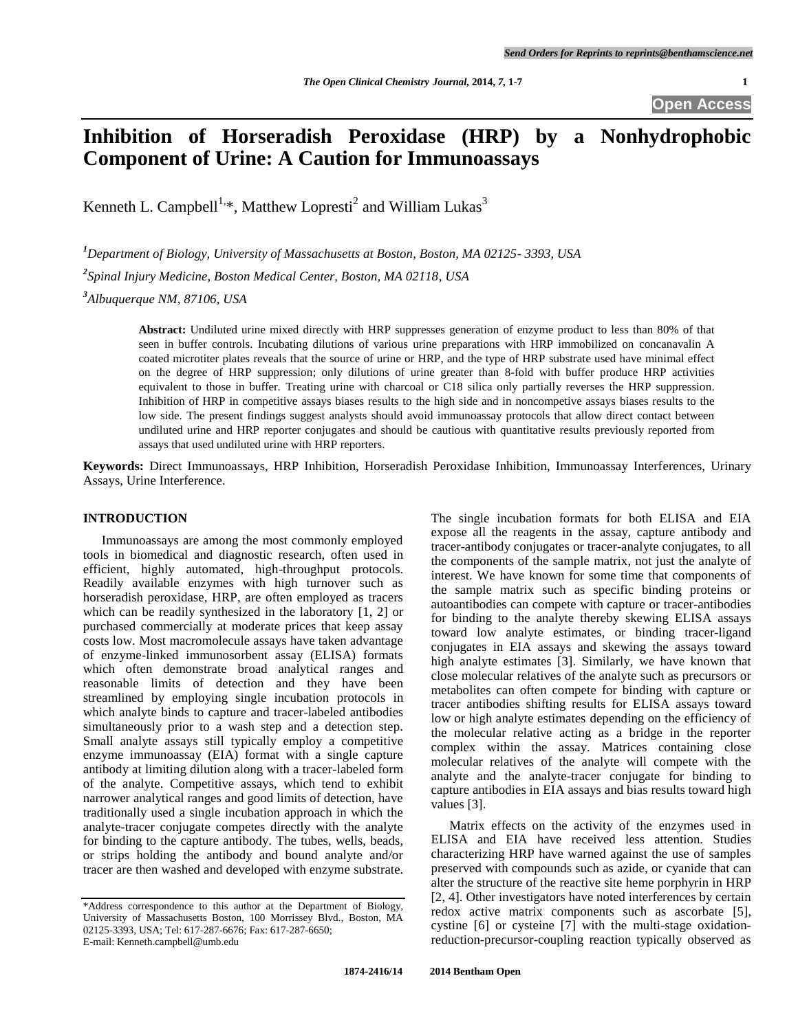# **Inhibition of Horseradish Peroxidase (HRP) by a Nonhydrophobic Component of Urine: A Caution for Immunoassays**

Kenneth L. Campbell<sup>1,\*</sup>, Matthew Lopresti<sup>2</sup> and William Lukas<sup>3</sup>

*<sup>1</sup>Department of Biology, University of Massachusetts at Boston, Boston, MA 02125- 3393, USA*

*2 Spinal Injury Medicine, Boston Medical Center, Boston, MA 02118, USA*

*<sup>3</sup>Albuquerque NM, 87106, USA*

**Abstract:** Undiluted urine mixed directly with HRP suppresses generation of enzyme product to less than 80% of that seen in buffer controls. Incubating dilutions of various urine preparations with HRP immobilized on concanavalin A coated microtiter plates reveals that the source of urine or HRP, and the type of HRP substrate used have minimal effect on the degree of HRP suppression; only dilutions of urine greater than 8-fold with buffer produce HRP activities equivalent to those in buffer. Treating urine with charcoal or C18 silica only partially reverses the HRP suppression. Inhibition of HRP in competitive assays biases results to the high side and in noncompetive assays biases results to the low side. The present findings suggest analysts should avoid immunoassay protocols that allow direct contact between undiluted urine and HRP reporter conjugates and should be cautious with quantitative results previously reported from assays that used undiluted urine with HRP reporters.

**Keywords:** Direct Immunoassays, HRP Inhibition, Horseradish Peroxidase Inhibition, Immunoassay Interferences, Urinary Assays, Urine Interference.

#### **INTRODUCTION**

Immunoassays are among the most commonly employed tools in biomedical and diagnostic research, often used in efficient, highly automated, high-throughput protocols. Readily available enzymes with high turnover such as horseradish peroxidase, HRP, are often employed as tracers which can be readily synthesized in the laboratory [1, 2] or purchased commercially at moderate prices that keep assay costs low. Most macromolecule assays have taken advantage of enzyme-linked immunosorbent assay (ELISA) formats which often demonstrate broad analytical ranges and reasonable limits of detection and they have been streamlined by employing single incubation protocols in which analyte binds to capture and tracer-labeled antibodies simultaneously prior to a wash step and a detection step. Small analyte assays still typically employ a competitive enzyme immunoassay (EIA) format with a single capture antibody at limiting dilution along with a tracer-labeled form of the analyte. Competitive assays, which tend to exhibit narrower analytical ranges and good limits of detection, have traditionally used a single incubation approach in which the analyte-tracer conjugate competes directly with the analyte for binding to the capture antibody. The tubes, wells, beads, or strips holding the antibody and bound analyte and/or tracer are then washed and developed with enzyme substrate.

The single incubation formats for both ELISA and EIA expose all the reagents in the assay, capture antibody and tracer-antibody conjugates or tracer-analyte conjugates, to all the components of the sample matrix, not just the analyte of interest. We have known for some time that components of the sample matrix such as specific binding proteins or autoantibodies can compete with capture or tracer-antibodies for binding to the analyte thereby skewing ELISA assays toward low analyte estimates, or binding tracer-ligand conjugates in EIA assays and skewing the assays toward high analyte estimates [3]. Similarly, we have known that close molecular relatives of the analyte such as precursors or metabolites can often compete for binding with capture or tracer antibodies shifting results for ELISA assays toward low or high analyte estimates depending on the efficiency of the molecular relative acting as a bridge in the reporter complex within the assay. Matrices containing close molecular relatives of the analyte will compete with the analyte and the analyte-tracer conjugate for binding to capture antibodies in EIA assays and bias results toward high values [3].

Matrix effects on the activity of the enzymes used in ELISA and EIA have received less attention. Studies characterizing HRP have warned against the use of samples preserved with compounds such as azide, or cyanide that can alter the structure of the reactive site heme porphyrin in HRP [2, 4]. Other investigators have noted interferences by certain redox active matrix components such as ascorbate [5], cystine [6] or cysteine [7] with the multi-stage oxidationreduction-precursor-coupling reaction typically observed as

<sup>\*</sup>Address correspondence to this author at the Department of Biology, University of Massachusetts Boston, 100 Morrissey Blvd., Boston, MA 02125-3393, USA; Tel: 617-287-6676; Fax: 617-287-6650; E-mail: [Kenneth.campbell@umb.edu](mailto:Kenneth.campbell@umb.edu)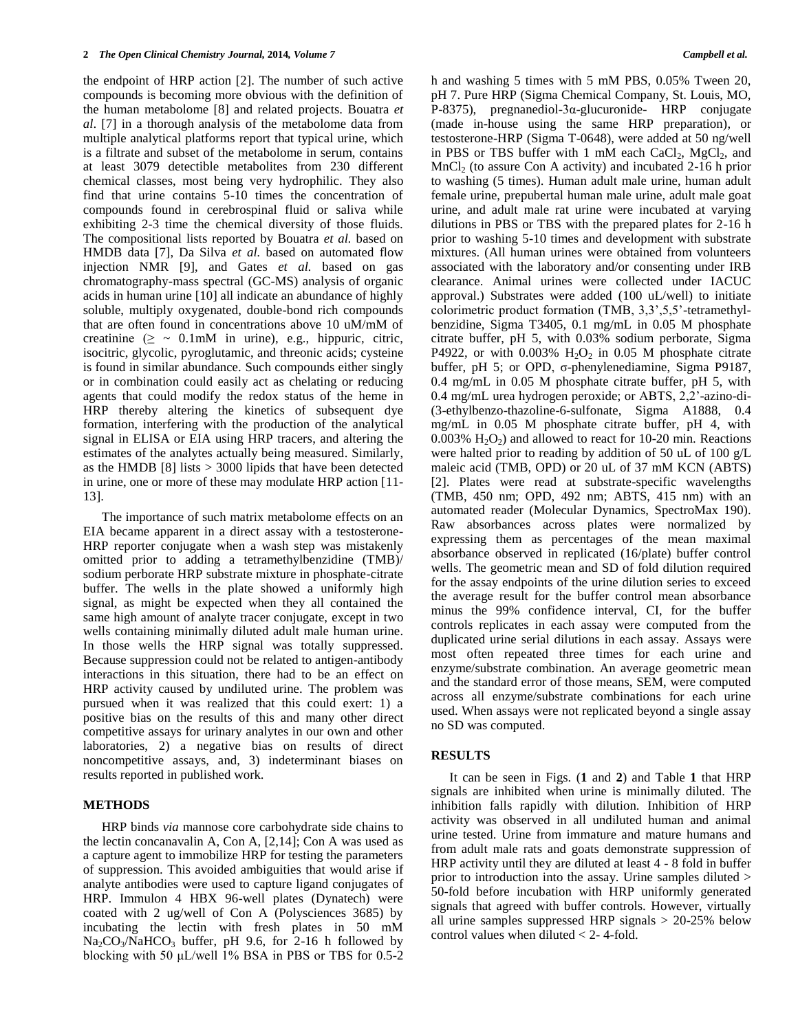the endpoint of HRP action [2]. The number of such active compounds is becoming more obvious with the definition of the human metabolome [8] and related projects. Bouatra *et al*. [7] in a thorough analysis of the metabolome data from multiple analytical platforms report that typical urine, which is a filtrate and subset of the metabolome in serum, contains at least 3079 detectible metabolites from 230 different chemical classes, most being very hydrophilic. They also find that urine contains 5-10 times the concentration of compounds found in cerebrospinal fluid or saliva while exhibiting 2-3 time the chemical diversity of those fluids. The compositional lists reported by Bouatra *et al.* based on HMDB data [7], Da Silva *et al.* based on automated flow injection NMR [9], and Gates *et al.* based on gas chromatography-mass spectral (GC-MS) analysis of organic acids in human urine [10] all indicate an abundance of highly soluble, multiply oxygenated, double-bond rich compounds that are often found in concentrations above 10 uM/mM of creatinine  $(≥ ~ 0.1 \text{mM}$  in urine), e.g., hippuric, citric, isocitric, glycolic, pyroglutamic, and threonic acids; cysteine is found in similar abundance. Such compounds either singly or in combination could easily act as chelating or reducing agents that could modify the redox status of the heme in HRP thereby altering the kinetics of subsequent dye formation, interfering with the production of the analytical signal in ELISA or EIA using HRP tracers, and altering the estimates of the analytes actually being measured. Similarly, as the HMDB  $[8]$  lists  $> 3000$  lipids that have been detected in urine, one or more of these may modulate HRP action [11- 13].

The importance of such matrix metabolome effects on an EIA became apparent in a direct assay with a testosterone-HRP reporter conjugate when a wash step was mistakenly omitted prior to adding a tetramethylbenzidine (TMB)/ sodium perborate HRP substrate mixture in phosphate-citrate buffer. The wells in the plate showed a uniformly high signal, as might be expected when they all contained the same high amount of analyte tracer conjugate, except in two wells containing minimally diluted adult male human urine. In those wells the HRP signal was totally suppressed. Because suppression could not be related to antigen-antibody interactions in this situation, there had to be an effect on HRP activity caused by undiluted urine. The problem was pursued when it was realized that this could exert: 1) a positive bias on the results of this and many other direct competitive assays for urinary analytes in our own and other laboratories, 2) a negative bias on results of direct noncompetitive assays, and, 3) indeterminant biases on results reported in published work.

#### **METHODS**

HRP binds *via* mannose core carbohydrate side chains to the lectin concanavalin A, Con A, [2,14]; Con A was used as a capture agent to immobilize HRP for testing the parameters of suppression. This avoided ambiguities that would arise if analyte antibodies were used to capture ligand conjugates of HRP. Immulon 4 HBX 96-well plates (Dynatech) were coated with 2 ug/well of Con A (Polysciences 3685) by incubating the lectin with fresh plates in 50 mM  $Na<sub>2</sub>CO<sub>3</sub>/NaHCO<sub>3</sub>$  buffer, pH 9.6, for 2-16 h followed by blocking with 50 μL/well 1% BSA in PBS or TBS for 0.5-2

h and washing 5 times with 5 mM PBS, 0.05% Tween 20, pH 7. Pure HRP (Sigma Chemical Company, St. Louis, MO, P-8375), pregnanediol-3α-glucuronide- HRP conjugate (made in-house using the same HRP preparation), or testosterone-HRP (Sigma T-0648), were added at 50 ng/well in PBS or TBS buffer with 1 mM each CaCl<sub>2</sub>, MgCl<sub>2</sub>, and  $MnCl<sub>2</sub>$  (to assure Con A activity) and incubated 2-16 h prior to washing (5 times). Human adult male urine, human adult female urine, prepubertal human male urine, adult male goat urine, and adult male rat urine were incubated at varying dilutions in PBS or TBS with the prepared plates for 2-16 h prior to washing 5-10 times and development with substrate mixtures. (All human urines were obtained from volunteers associated with the laboratory and/or consenting under IRB clearance. Animal urines were collected under IACUC approval.) Substrates were added (100 uL/well) to initiate colorimetric product formation (TMB, 3,3',5,5'-tetramethylbenzidine, Sigma T3405, 0.1 mg/mL in 0.05 M phosphate citrate buffer, pH 5, with 0.03% sodium perborate, Sigma P4922, or with  $0.003\%$  H<sub>2</sub>O<sub>2</sub> in 0.05 M phosphate citrate buffer, pH 5; or OPD, σ-phenylenediamine, Sigma P9187, 0.4 mg/mL in 0.05 M phosphate citrate buffer, pH 5, with 0.4 mg/mL urea hydrogen peroxide; or ABTS, 2,2'-azino-di- (3-ethylbenzo-thazoline-6-sulfonate, Sigma A1888, 0.4 mg/mL in 0.05 M phosphate citrate buffer, pH 4, with  $0.003\%$  H<sub>2</sub>O<sub>2</sub>) and allowed to react for 10-20 min. Reactions were halted prior to reading by addition of 50 uL of 100 g/L maleic acid (TMB, OPD) or 20 uL of 37 mM KCN (ABTS) [2]. Plates were read at substrate-specific wavelengths (TMB, 450 nm; OPD, 492 nm; ABTS, 415 nm) with an automated reader (Molecular Dynamics, SpectroMax 190). Raw absorbances across plates were normalized by expressing them as percentages of the mean maximal absorbance observed in replicated (16/plate) buffer control wells. The geometric mean and SD of fold dilution required for the assay endpoints of the urine dilution series to exceed the average result for the buffer control mean absorbance minus the 99% confidence interval, CI, for the buffer controls replicates in each assay were computed from the duplicated urine serial dilutions in each assay. Assays were most often repeated three times for each urine and enzyme/substrate combination. An average geometric mean and the standard error of those means, SEM, were computed across all enzyme/substrate combinations for each urine used. When assays were not replicated beyond a single assay no SD was computed.

#### **RESULTS**

It can be seen in Figs. (**1** and **2**) and Table **1** that HRP signals are inhibited when urine is minimally diluted. The inhibition falls rapidly with dilution. Inhibition of HRP activity was observed in all undiluted human and animal urine tested. Urine from immature and mature humans and from adult male rats and goats demonstrate suppression of HRP activity until they are diluted at least 4 - 8 fold in buffer prior to introduction into the assay. Urine samples diluted > 50-fold before incubation with HRP uniformly generated signals that agreed with buffer controls. However, virtually all urine samples suppressed HRP signals > 20-25% below control values when diluted < 2- 4-fold.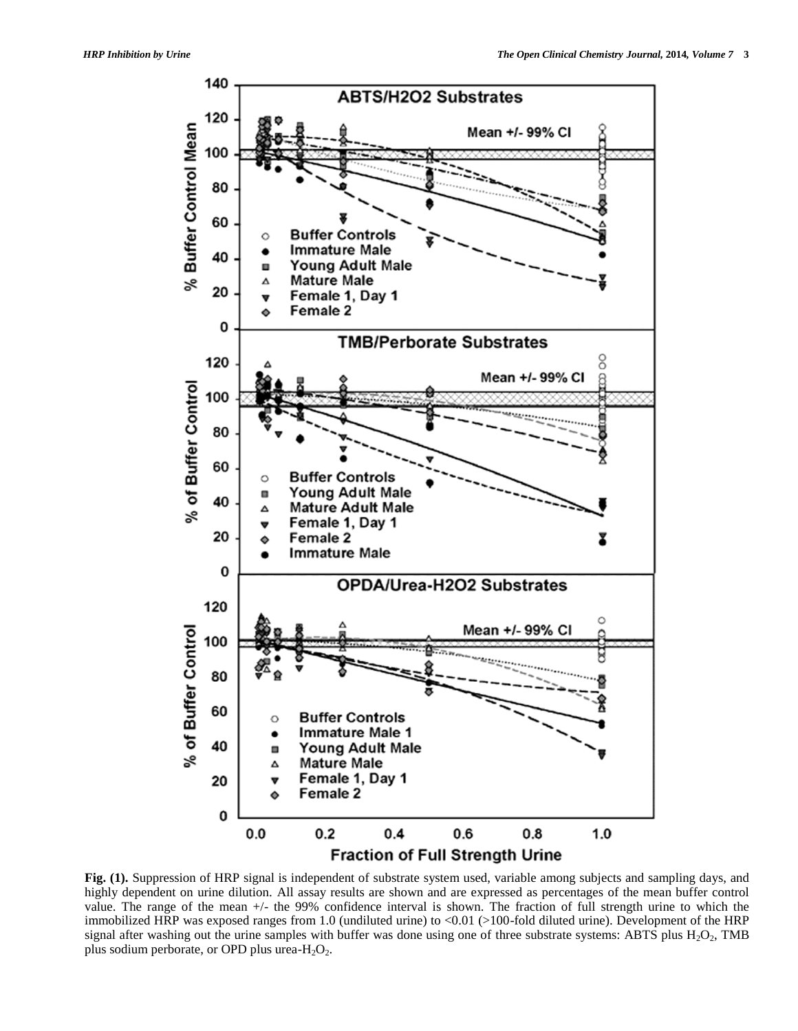

**Fig. (1).** Suppression of HRP signal is independent of substrate system used, variable among subjects and sampling days, and highly dependent on urine dilution. All assay results are shown and are expressed as percentages of the mean buffer control value. The range of the mean +/- the 99% confidence interval is shown. The fraction of full strength urine to which the immobilized HRP was exposed ranges from 1.0 (undiluted urine) to <0.01 (>100-fold diluted urine). Development of the HRP signal after washing out the urine samples with buffer was done using one of three substrate systems: ABTS plus  $H_2O_2$ , TMB plus sodium perborate, or OPD plus urea- $H_2O_2$ .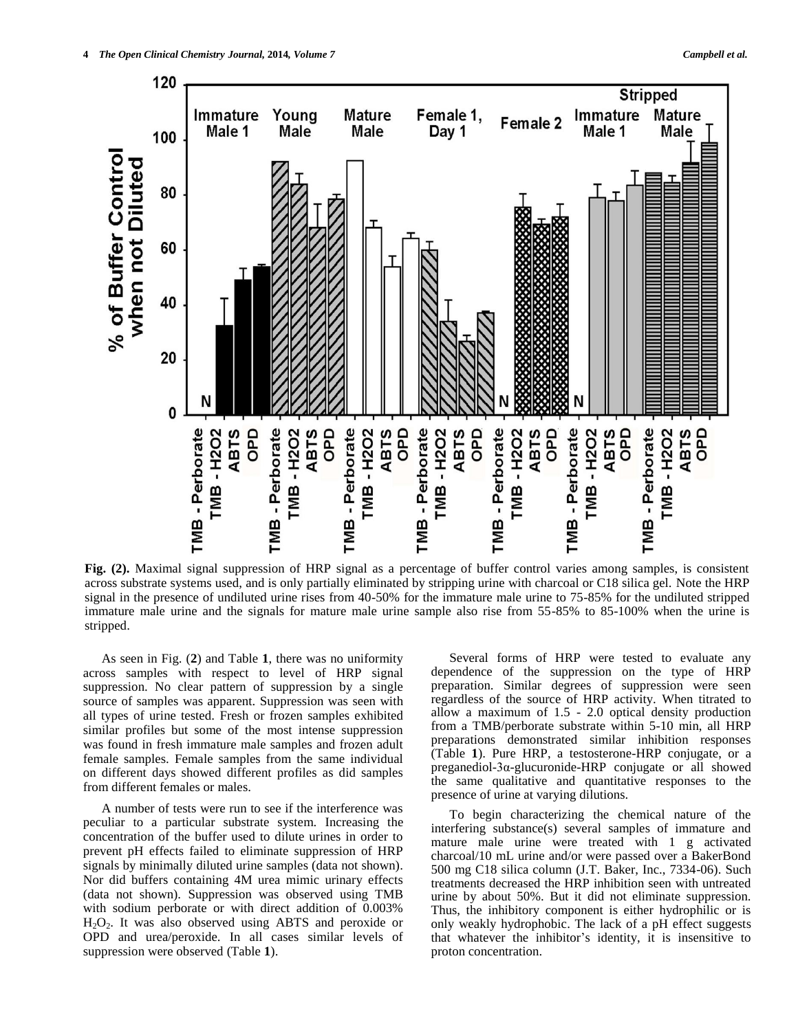

**Fig. (2).** Maximal signal suppression of HRP signal as a percentage of buffer control varies among samples, is consistent across substrate systems used, and is only partially eliminated by stripping urine with charcoal or C18 silica gel. Note the HRP signal in the presence of undiluted urine rises from 40-50% for the immature male urine to 75-85% for the undiluted stripped immature male urine and the signals for mature male urine sample also rise from 55-85% to 85-100% when the urine is stripped.

As seen in Fig. (**2**) and Table **1**, there was no uniformity across samples with respect to level of HRP signal suppression. No clear pattern of suppression by a single source of samples was apparent. Suppression was seen with all types of urine tested. Fresh or frozen samples exhibited similar profiles but some of the most intense suppression was found in fresh immature male samples and frozen adult female samples. Female samples from the same individual on different days showed different profiles as did samples from different females or males.

A number of tests were run to see if the interference was peculiar to a particular substrate system. Increasing the concentration of the buffer used to dilute urines in order to prevent pH effects failed to eliminate suppression of HRP signals by minimally diluted urine samples (data not shown). Nor did buffers containing 4M urea mimic urinary effects (data not shown). Suppression was observed using TMB with sodium perborate or with direct addition of 0.003% H2O2. It was also observed using ABTS and peroxide or OPD and urea/peroxide. In all cases similar levels of suppression were observed (Table **1**).

Several forms of HRP were tested to evaluate any dependence of the suppression on the type of HRP preparation. Similar degrees of suppression were seen regardless of the source of HRP activity. When titrated to allow a maximum of 1.5 - 2.0 optical density production from a TMB/perborate substrate within 5-10 min, all HRP preparations demonstrated similar inhibition responses (Table **1**). Pure HRP, a testosterone-HRP conjugate, or a preganediol-3α-glucuronide-HRP conjugate or all showed the same qualitative and quantitative responses to the presence of urine at varying dilutions.

To begin characterizing the chemical nature of the interfering substance(s) several samples of immature and mature male urine were treated with 1 g activated charcoal/10 mL urine and/or were passed over a BakerBond 500 mg C18 silica column (J.T. Baker, Inc., 7334-06). Such treatments decreased the HRP inhibition seen with untreated urine by about 50%. But it did not eliminate suppression. Thus, the inhibitory component is either hydrophilic or is only weakly hydrophobic. The lack of a pH effect suggests that whatever the inhibitor's identity, it is insensitive to proton concentration.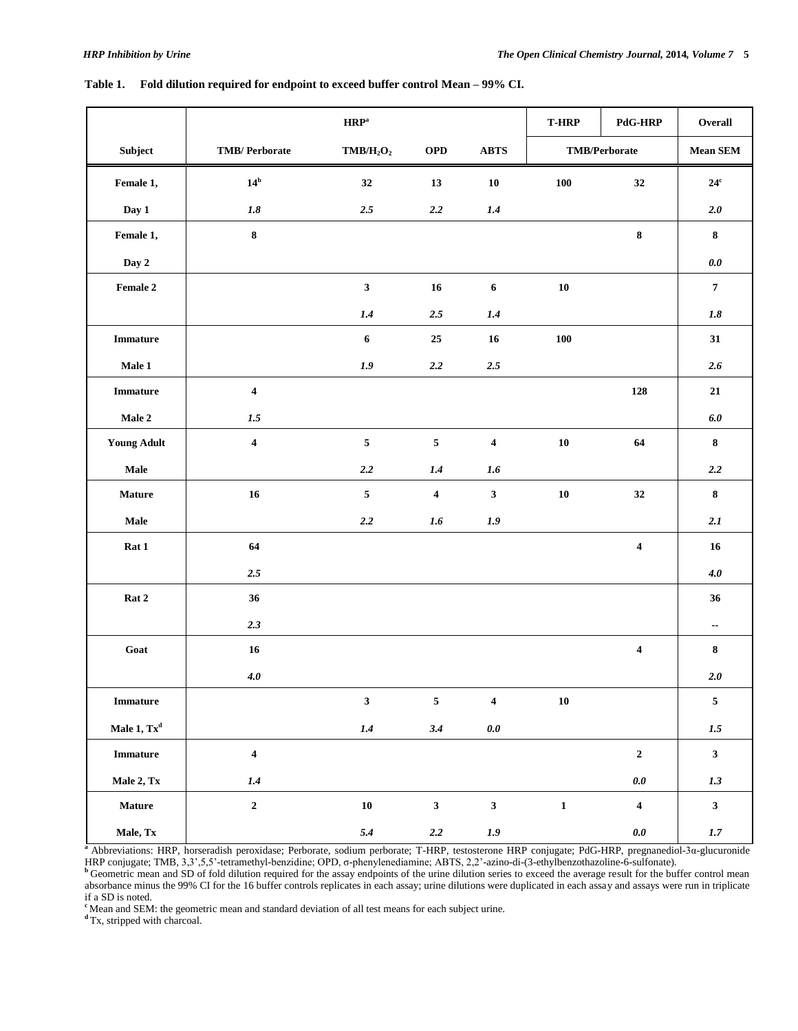|                                               |                         | $\mathbf{HRP}^{\mathrm{a}}$       |                         |                                | <b>T-HRP</b>         | <b>PdG-HRP</b>          | Overall                  |
|-----------------------------------------------|-------------------------|-----------------------------------|-------------------------|--------------------------------|----------------------|-------------------------|--------------------------|
| Subject                                       | <b>TMB/Perborate</b>    | TMB/H <sub>2</sub> O <sub>2</sub> | OPD                     | ${\bf A}{\bf B}{\bf T}{\bf S}$ | <b>TMB/Perborate</b> |                         | Mean SEM                 |
| Female 1,                                     | $14^b$                  | 32                                | 13                      | ${\bf 10}$                     | ${\bf 100}$          | 32                      | $24^{\rm c}$             |
| Day 1                                         | $\it 1.8$               | $2.5\,$                           | $2.2\,$                 | $1.4\,$                        |                      |                         | 2.0                      |
| Female 1,                                     | $\bf 8$                 |                                   |                         |                                |                      | $\pmb{8}$               | $\bf8$                   |
| Day 2                                         |                         |                                   |                         |                                |                      |                         | $0.0\,$                  |
| $\ensuremath{\textnormal{\textbf{Female}}}$ 2 |                         | $\mathbf{3}$                      | 16                      | $\boldsymbol{6}$               | ${\bf 10}$           |                         | $\boldsymbol{7}$         |
|                                               |                         | 1.4                               | $2.5\,$                 | 1.4                            |                      |                         | 1.8                      |
| <b>Immature</b>                               |                         | $\boldsymbol{6}$                  | 25                      | 16                             | ${\bf 100}$          |                         | 31                       |
| Male 1                                        |                         | 1.9                               | $2.2\,$                 | $2.5\,$                        |                      |                         | 2.6                      |
| <b>Immature</b>                               | $\overline{\mathbf{4}}$ |                                   |                         |                                |                      | 128                     | 21                       |
| Male $2\,$                                    | 1.5                     |                                   |                         |                                |                      |                         | $6.0\,$                  |
| <b>Young Adult</b>                            | $\overline{\mathbf{4}}$ | $\overline{\mathbf{5}}$           | $\sqrt{5}$              | $\overline{\mathbf{4}}$        | ${\bf 10}$           | 64                      | $\bf 8$                  |
| $\bf Male$                                    |                         | $2.2\,$                           | 1.4                     | $1.6\,$                        |                      |                         | 2.2                      |
| <b>Mature</b>                                 | 16                      | $\overline{\mathbf{5}}$           | $\overline{\mathbf{4}}$ | $\mathbf{3}$                   | ${\bf 10}$           | 32                      | $\pmb{8}$                |
| $\mathbf{Male}$                               |                         | $2.2\,$                           | $1.6\,$                 | 1.9                            |                      |                         | 2.1                      |
| Rat 1                                         | 64                      |                                   |                         |                                |                      | $\overline{\mathbf{4}}$ | 16                       |
|                                               | $2.5\,$                 |                                   |                         |                                |                      |                         | $4.0$                    |
| Rat 2                                         | 36                      |                                   |                         |                                |                      |                         | 36                       |
|                                               | 2.3                     |                                   |                         |                                |                      |                         | $\overline{\phantom{a}}$ |
| Goat                                          | 16                      |                                   |                         |                                |                      | $\boldsymbol{4}$        | $\bf 8$                  |
|                                               | $4.0$                   |                                   |                         |                                |                      |                         | $2.0$                    |
| ${\bf Immature}$                              |                         | $\mathbf{3}$                      | $\overline{\mathbf{5}}$ | $\overline{\mathbf{4}}$        | ${\bf 10}$           |                         | $\sqrt{5}$               |
| Male 1, Tx <sup>d</sup>                       |                         | $1.4\,$                           | 3.4                     | $0.0\,$                        |                      |                         | $1.5\,$                  |
| ${\bf Immature}$                              | $\overline{\mathbf{4}}$ |                                   |                         |                                |                      | $\mathbf 2$             | $\overline{\mathbf{3}}$  |
| Male 2, Tx                                    | $1.4\,$                 |                                   |                         |                                |                      | $0.0\,$                 | 1.3                      |
| Mature                                        | $\mathbf 2$             | ${\bf 10}$                        | $\mathbf{3}$            | $\mathbf{3}$                   | $\mathbf 1$          | $\overline{\mathbf{4}}$ | $\mathbf{3}$             |
| Male, Tx                                      |                         | 5.4                               | $2.2\,$                 | $1.9$                          |                      | $0.0\,$                 | $1.7\,$                  |

### **Table 1. Fold dilution required for endpoint to exceed buffer control Mean – 99% CI.**

**<sup>a</sup>**Abbreviations: HRP, horseradish peroxidase; Perborate, sodium perborate; T-HRP, testosterone HRP conjugate; PdG-HRP, pregnanediol-3α-glucuronide HRP conjugate; TMB, 3,3',5,5'-tetramethyl-benzidine; OPD, σ-phenylenediamine; ABTS, 2,2'-azino-di-(3-ethylbenzothazoline-6-sulfonate).

**b** Geometric mean and SD of fold dilution required for the assay endpoints of the urine dilution series to exceed the average result for the buffer control mean absorbance minus the 99% CI for the 16 buffer controls replicates in each assay; urine dilutions were duplicated in each assay and assays were run in triplicate if a SD is noted.

**c**Mean and SEM: the geometric mean and standard deviation of all test means for each subject urine.

<sup>d</sup>Tx, stripped with charcoal.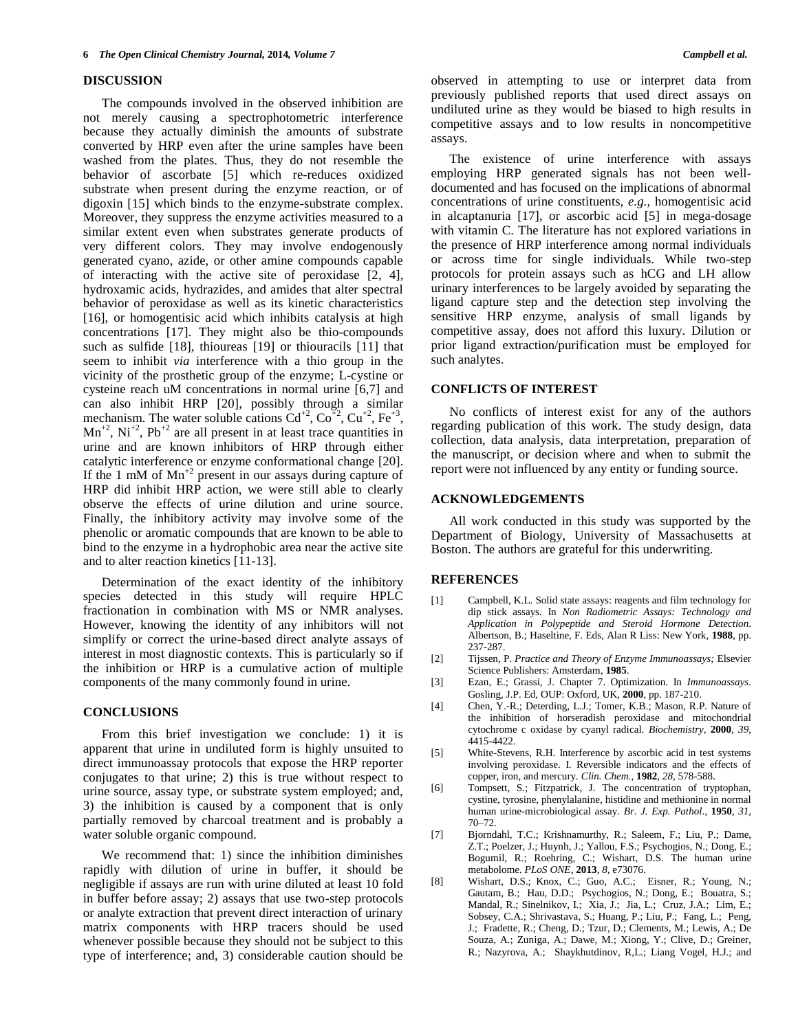#### **DISCUSSION**

The compounds involved in the observed inhibition are not merely causing a spectrophotometric interference because they actually diminish the amounts of substrate converted by HRP even after the urine samples have been washed from the plates. Thus, they do not resemble the behavior of ascorbate [5] which re-reduces oxidized substrate when present during the enzyme reaction, or of digoxin [15] which binds to the enzyme-substrate complex. Moreover, they suppress the enzyme activities measured to a similar extent even when substrates generate products of very different colors. They may involve endogenously generated cyano, azide, or other amine compounds capable of interacting with the active site of peroxidase [2, 4], hydroxamic acids, hydrazides, and amides that alter spectral behavior of peroxidase as well as its kinetic characteristics [16], or homogentisic acid which inhibits catalysis at high concentrations [17]. They might also be thio-compounds such as sulfide [18], thioureas [19] or thiouracils [11] that seem to inhibit *via* interference with a thio group in the vicinity of the prosthetic group of the enzyme; L-cystine or cysteine reach uM concentrations in normal urine [6,7] and can also inhibit HRP [20], possibly through a similar mechanism. The water soluble cations  $Cd^{+2}$ ,  $Co^{-2}$ ,  $Cu^{+2}$ ,  $Fe^{+3}$ ,  $Mn^{+2}$ , Ni<sup>+2</sup>, Pb<sup>+2</sup> are all present in at least trace quantities in urine and are known inhibitors of HRP through either catalytic interference or enzyme conformational change [20]. If the 1 mM of  $Mn^{2}$  present in our assays during capture of HRP did inhibit HRP action, we were still able to clearly observe the effects of urine dilution and urine source. Finally, the inhibitory activity may involve some of the phenolic or aromatic compounds that are known to be able to bind to the enzyme in a hydrophobic area near the active site and to alter reaction kinetics [11-13].

Determination of the exact identity of the inhibitory species detected in this study will require HPLC fractionation in combination with MS or NMR analyses. However, knowing the identity of any inhibitors will not simplify or correct the urine-based direct analyte assays of interest in most diagnostic contexts. This is particularly so if the inhibition or HRP is a cumulative action of multiple components of the many commonly found in urine.

### **CONCLUSIONS**

From this brief investigation we conclude: 1) it is apparent that urine in undiluted form is highly unsuited to direct immunoassay protocols that expose the HRP reporter conjugates to that urine; 2) this is true without respect to urine source, assay type, or substrate system employed; and, 3) the inhibition is caused by a component that is only partially removed by charcoal treatment and is probably a water soluble organic compound.

We recommend that: 1) since the inhibition diminishes rapidly with dilution of urine in buffer, it should be negligible if assays are run with urine diluted at least 10 fold in buffer before assay; 2) assays that use two-step protocols or analyte extraction that prevent direct interaction of urinary matrix components with HRP tracers should be used whenever possible because they should not be subject to this type of interference; and, 3) considerable caution should be

observed in attempting to use or interpret data from previously published reports that used direct assays on undiluted urine as they would be biased to high results in competitive assays and to low results in noncompetitive assays.

The existence of urine interference with assays employing HRP generated signals has not been welldocumented and has focused on the implications of abnormal concentrations of urine constituents, *e.g.*, homogentisic acid in alcaptanuria [17], or ascorbic acid [5] in mega-dosage with vitamin C. The literature has not explored variations in the presence of HRP interference among normal individuals or across time for single individuals. While two-step protocols for protein assays such as hCG and LH allow urinary interferences to be largely avoided by separating the ligand capture step and the detection step involving the sensitive HRP enzyme, analysis of small ligands by competitive assay, does not afford this luxury. Dilution or prior ligand extraction/purification must be employed for such analytes.

## **CONFLICTS OF INTEREST**

No conflicts of interest exist for any of the authors regarding publication of this work. The study design, data collection, data analysis, data interpretation, preparation of the manuscript, or decision where and when to submit the report were not influenced by any entity or funding source.

#### **ACKNOWLEDGEMENTS**

All work conducted in this study was supported by the Department of Biology, University of Massachusetts at Boston. The authors are grateful for this underwriting.

#### **REFERENCES**

- [1] Campbell, K.L. Solid state assays: reagents and film technology for dip stick assays. In *Non Radiometric Assays: Technology and Application in Polypeptide and Steroid Hormone Detection*. Albertson, B.; Haseltine, F. Eds, Alan R Liss: New York, **1988**, pp. 237-287.
- [2] Tijssen, P. *Practice and Theory of Enzyme Immunoassays;* Elsevier Science Publishers: Amsterdam, **1985**.
- [3] Ezan, E.; Grassi, J. Chapter 7. Optimization. In *Immunoassays*. Gosling, J.P. Ed, OUP: Oxford, UK, **2000**, pp. 187-210.
- [4] Chen, Y.-R.; Deterding, L.J.; Tomer, K.B.; Mason, R.P. Nature of the inhibition of horseradish peroxidase and mitochondrial cytochrome c oxidase by cyanyl radical. *Biochemistry,* **2000**, *39*, 4415-4422.
- [5] White-Stevens, R.H. Interference by ascorbic acid in test systems involving peroxidase. I. Reversible indicators and the effects of copper, iron, and mercury. *Clin. Chem.,* **1982**, *28,* 578-588.
- [6] Tompsett, S.; Fitzpatrick, J. The concentration of tryptophan, cystine, tyrosine, phenylalanine, histidine and methionine in normal human urine-microbiological assay. *Br. J. Exp. Pathol*., **1950**, *31*, 70–72.
- [7] [Bjorndahl, T.C.](http://www.ncbi.nlm.nih.gov/pubmed?term=Bjorndahl%20TC%5BAuthor%5D&cauthor=true&cauthor_uid=24023812); [Krishnamurthy, R.;](http://www.ncbi.nlm.nih.gov/pubmed?term=Krishnamurthy%20R%5BAuthor%5D&cauthor=true&cauthor_uid=24023812) [Saleem, F.;](http://www.ncbi.nlm.nih.gov/pubmed?term=Saleem%20F%5BAuthor%5D&cauthor=true&cauthor_uid=24023812) [Liu, P.;](http://www.ncbi.nlm.nih.gov/pubmed?term=Liu%20P%5BAuthor%5D&cauthor=true&cauthor_uid=24023812) Dame, [Z.T.;](http://www.ncbi.nlm.nih.gov/pubmed?term=Dame%20ZT%5BAuthor%5D&cauthor=true&cauthor_uid=24023812) [Poelzer, J.;](http://www.ncbi.nlm.nih.gov/pubmed?term=Poelzer%20J%5BAuthor%5D&cauthor=true&cauthor_uid=24023812) [Huynh, J.;](http://www.ncbi.nlm.nih.gov/pubmed?term=Huynh%20J%5BAuthor%5D&cauthor=true&cauthor_uid=24023812) [Yallou, F.S.;](http://www.ncbi.nlm.nih.gov/pubmed?term=Yallou%20FS%5BAuthor%5D&cauthor=true&cauthor_uid=24023812) [Psychogios, N.;](http://www.ncbi.nlm.nih.gov/pubmed?term=Psychogios%20N%5BAuthor%5D&cauthor=true&cauthor_uid=24023812) [Dong, E.;](http://www.ncbi.nlm.nih.gov/pubmed?term=Dong%20E%5BAuthor%5D&cauthor=true&cauthor_uid=24023812) [Bogumil, R.](http://www.ncbi.nlm.nih.gov/pubmed?term=Bogumil%20R%5BAuthor%5D&cauthor=true&cauthor_uid=24023812); [Roehring, C.;](http://www.ncbi.nlm.nih.gov/pubmed?term=Roehring%20C%5BAuthor%5D&cauthor=true&cauthor_uid=24023812) [Wishart, D.S.](http://www.ncbi.nlm.nih.gov/pubmed?term=Wishart%20DS%5BAuthor%5D&cauthor=true&cauthor_uid=24023812) The human urine metabolome. *PLoS ONE*, **2013**, *8*, e73076.
- [8] [Wishart,](http://www.ncbi.nlm.nih.gov/pubmed/?term=Wishart%20DS%5Bauth%5D) D.S.; [Knox,](http://www.ncbi.nlm.nih.gov/pubmed/?term=Knox%20C%5Bauth%5D) C.; [Guo,](http://www.ncbi.nlm.nih.gov/pubmed/?term=Guo%20AC%5Bauth%5D) A.C.; [Eisner,](http://www.ncbi.nlm.nih.gov/pubmed/?term=Eisner%20R%5Bauth%5D) R.; [Young,](http://www.ncbi.nlm.nih.gov/pubmed/?term=Young%20N%5Bauth%5D) N.[;](http://www.ncbi.nlm.nih.gov/pubmed/?term=Gautam%20B%5Bauth%5D)  [Gautam,](http://www.ncbi.nlm.nih.gov/pubmed/?term=Gautam%20B%5Bauth%5D) B.; [Hau,](http://www.ncbi.nlm.nih.gov/pubmed/?term=Hau%20DD%5Bauth%5D) D.D.; [Psychogios,](http://www.ncbi.nlm.nih.gov/pubmed/?term=Psychogios%20N%5Bauth%5D) N.; [Dong,](http://www.ncbi.nlm.nih.gov/pubmed/?term=Dong%20E%5Bauth%5D) E.; [Bouatra,](http://www.ncbi.nlm.nih.gov/pubmed/?term=Bouatra%20S%5Bauth%5D) S.[;](http://www.ncbi.nlm.nih.gov/pubmed/?term=Mandal%20R%5Bauth%5D) [Mandal,](http://www.ncbi.nlm.nih.gov/pubmed/?term=Mandal%20R%5Bauth%5D) R.; [Sinelnikov,](http://www.ncbi.nlm.nih.gov/pubmed/?term=Sinelnikov%20I%5Bauth%5D) I.; [Xia,](http://www.ncbi.nlm.nih.gov/pubmed/?term=Xia%20J%5Bauth%5D) J.; [Jia,](http://www.ncbi.nlm.nih.gov/pubmed/?term=Jia%20L%5Bauth%5D) L.; [Cruz,](http://www.ncbi.nlm.nih.gov/pubmed/?term=Cruz%20JA%5Bauth%5D) J.A.; [Lim,](http://www.ncbi.nlm.nih.gov/pubmed/?term=Lim%20E%5Bauth%5D) E.[;](http://www.ncbi.nlm.nih.gov/pubmed/?term=Sobsey%20CA%5Bauth%5D)  [Sobsey,](http://www.ncbi.nlm.nih.gov/pubmed/?term=Sobsey%20CA%5Bauth%5D) C.A.[; Shrivastava,](http://www.ncbi.nlm.nih.gov/pubmed/?term=Shrivastava%20S%5Bauth%5D) S.; [Huang,](http://www.ncbi.nlm.nih.gov/pubmed/?term=Huang%20P%5Bauth%5D) P.[; Liu,](http://www.ncbi.nlm.nih.gov/pubmed/?term=Liu%20P%5Bauth%5D) P.[; Fang,](http://www.ncbi.nlm.nih.gov/pubmed/?term=Fang%20L%5Bauth%5D) L.[; Peng,](http://www.ncbi.nlm.nih.gov/pubmed/?term=Peng%20J%5Bauth%5D)  J.; [Fradette,](http://www.ncbi.nlm.nih.gov/pubmed/?term=Fradette%20R%5Bauth%5D) R.[; Cheng,](http://www.ncbi.nlm.nih.gov/pubmed/?term=Cheng%20D%5Bauth%5D) D.; [Tzur,](http://www.ncbi.nlm.nih.gov/pubmed/?term=Tzur%20D%5Bauth%5D) D.; [Clements,](http://www.ncbi.nlm.nih.gov/pubmed/?term=Clements%20M%5Bauth%5D) M.; [Lewis,](http://www.ncbi.nlm.nih.gov/pubmed/?term=Lewis%20A%5Bauth%5D) A.; [De](http://www.ncbi.nlm.nih.gov/pubmed/?term=De%20Souza%20A%5Bauth%5D)  [Souza,](http://www.ncbi.nlm.nih.gov/pubmed/?term=De%20Souza%20A%5Bauth%5D) A.; [Zuniga,](http://www.ncbi.nlm.nih.gov/pubmed/?term=Zuniga%20A%5Bauth%5D) A.; [Dawe,](http://www.ncbi.nlm.nih.gov/pubmed/?term=Dawe%20M%5Bauth%5D) M.; [Xiong,](http://www.ncbi.nlm.nih.gov/pubmed/?term=Xiong%20Y%5Bauth%5D) Y.; [Clive,](http://www.ncbi.nlm.nih.gov/pubmed/?term=Clive%20D%5Bauth%5D) D.; [Greiner,](http://www.ncbi.nlm.nih.gov/pubmed/?term=Greiner%20R%5Bauth%5D)  R.; [Nazyrova,](http://www.ncbi.nlm.nih.gov/pubmed/?term=Nazyrova%20A%5Bauth%5D) [A.; Shaykhutdinov,](http://www.ncbi.nlm.nih.gov/pubmed/?term=Shaykhutdinov%20R%5Bauth%5D) R,L.; [Liang](http://www.ncbi.nlm.nih.gov/pubmed/?term=Li%20L%5Bauth%5D) [Vogel,](http://www.ncbi.nlm.nih.gov/pubmed/?term=Li%20L%5Bauth%5D) H.J.; an[d](http://www.ncbi.nlm.nih.gov/pubmed/?term=Forsythe%20I%5Bauth%5D)